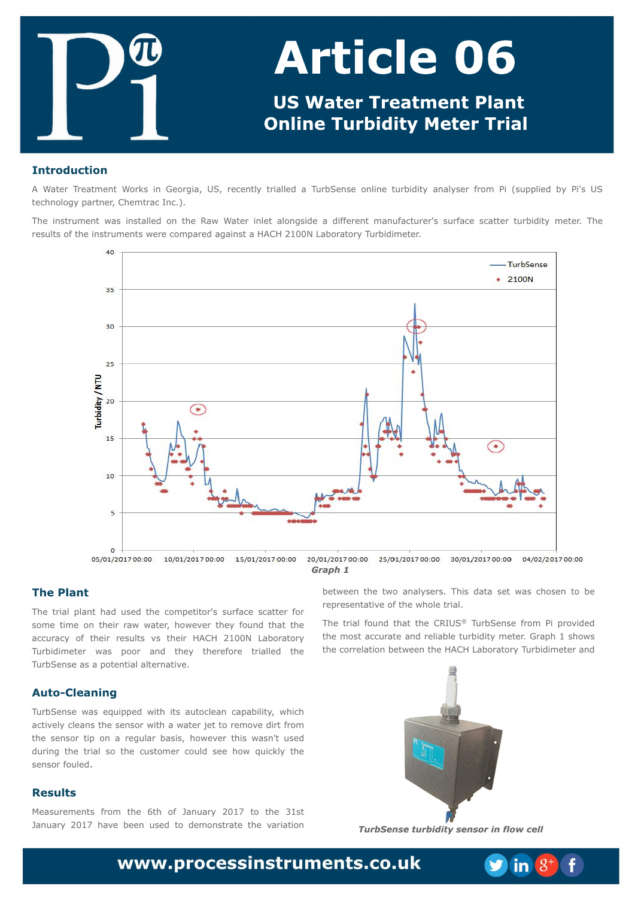B X bufs Usfbun fou X psl t jo Hfpshjb- VT- sfdfouna usjbmfne b UvscTfotf pomjof uvscjejuz bobnatfs gspn Gj)tvqqmjfe cz Gj(t VT uf di opmahz qbsuof s Di f n usbd Jod/\*/

Uif jotusvn fou x bt jotubmfne po uif Sbx X bufs jomfu bmpohtjef b ejgnfsfou n bovobduvsfs (t tvsobdf tdbuufs uvscjejuz n fufs/ Uif sftvndt pquif jotusvn fout x fsf dpn gbsfe bhbjotu b IBDI 32110 Mbcpsbupsz Uvscjejn fufs/

Uif usjbmqmbou i be vtfe uif dpn qfujups (t tvsgbdf tdbuufs gps tpn f un f po ui f js sbx x buf s i px f wf s ui f z govoe ui bu ui f bddvsbdz pq uifjs sftvmd wt uifjs IBDI 32110 Mbcpsbupsz Uvscjejn fufs x bt qpps boe uifz uifsf gosf usjbmfe uif UvscTf otf bt b qpuf ouibmbmf sobuwi/

UvscTf otf x bt frvjqqfe x jui jut bvupdrhbo dbqbcjmuz- x i jdi bdujwf m2 drhbot uif tfotps x jui b x bufs kfu up sfn pwf ejsugspn uif tfotps ujq po b sfhvrbs cbtjt- i pxfwfs u jt x bto(u vtfe evsjoh uif usjbmtp uif dvtupnfs dpvme tff ipx rvjdlma uif tf ot ps gov me/

Nfbtvsfnfout ospnuif 7ui pg Kbovbsz 3128 up uif 42tu Kbovbsz 3128 ibwf cffo vtfe up efn potusbuf uif wbsjbujpo

cfux ffo uif uxp bobmatfst/ Uijt ebub tfu x bt diptfo up cf sfasftfoubuiwf paulf xipm usibm

Uif usjbmgpvoe ui bu uif DSJVT<sup>OE</sup> UvscTfotf gspn Qj qspwjefe uif n ptubddvsbuf boe sfrjbcrh wscjejuzn fufs/Hsbqi 2 tipxt uif dpssfrbujpo cfux ffouif IBDI Mocpsbupsz Uvscjejn fufs boe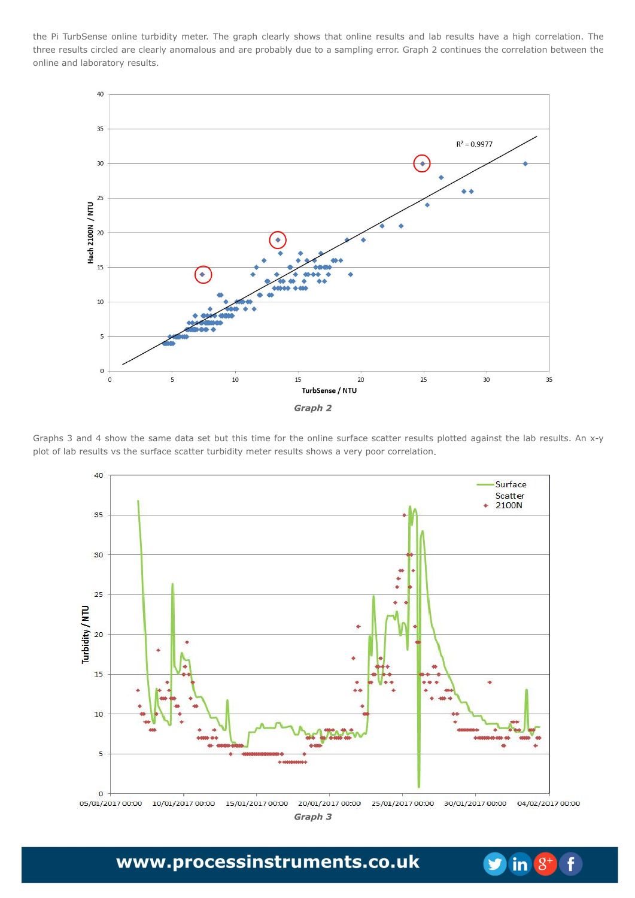uif Qj UvscTfotf pomjof uvscjejuzn fufs/ Uif hsbqi dmfbsmatipxt uibu pomjof sftvmat boe mbc sftvmat ibwf bijhi dpssfmbujpo/ Uif uisff sftvmat djsdrhe bsf drhbsma bopn brpvt boe bsf qspcbcma evf up b tbn qrjnoh fssps/Hsbqi 3 dpoujovft uif dpssfrbujpo cfuxffo uif porjof boe rbcpsbupsz sftvrat/

Hsbqit 4 boe 5 tipx uif tbn febub tfu cvu uijt ujn fgps uif pomjof tvsgbdf tdbuufs sftvmt qmpuufe bhbjotu uif mbc sftvmt/Boy.z qmupgmbc sftvmot wt uif tvschoff tolbuufs uvscjejuzn fufs sftvmot tipx t b wfsz qpps dpssfmbujpo